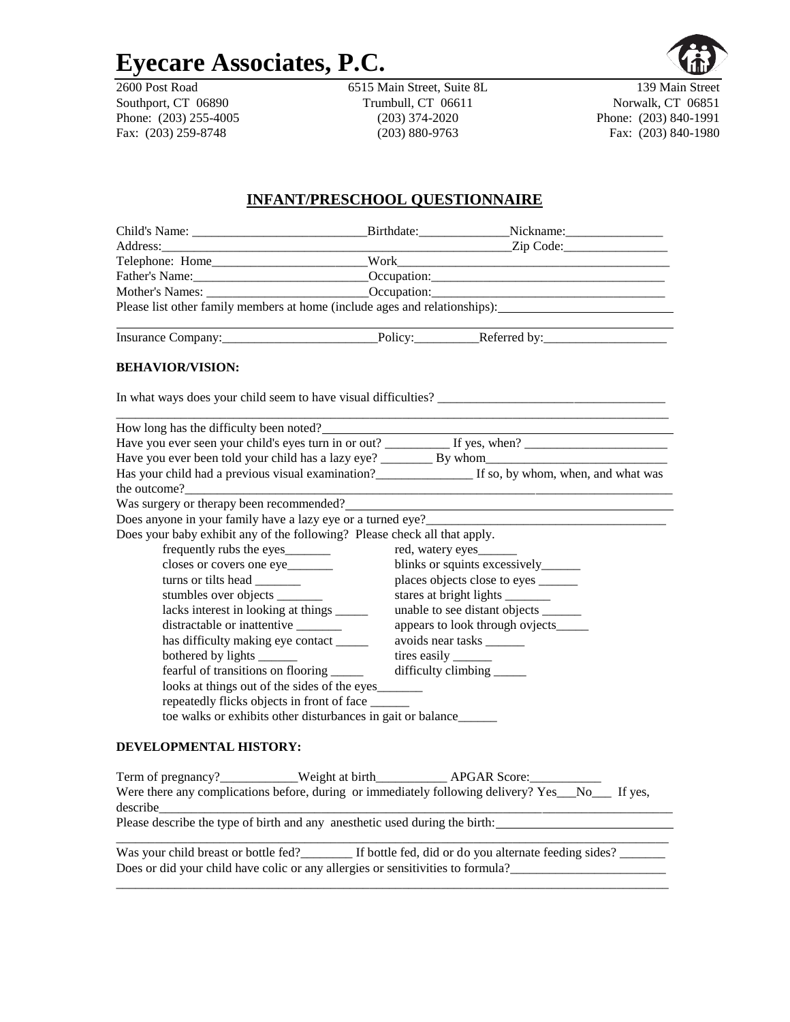# **Eyecare Associates, P.C.**

Fax: (203) 259-8748 (203) 880-9763 Fax: (203) 840-1980

2600 Post Road 6515 Main Street, Suite 8L 139 Main Street Southport, CT 06890 Trumbull, CT 06611 Norwalk, CT 06851 Phone: (203) 255-4005 (203) 374-2020 Phone: (203) 840-1991

# **INFANT/PRESCHOOL QUESTIONNAIRE**

| Please list other family members at home (include ages and relationships):                              |                                                                     |                                       |  |  |  |
|---------------------------------------------------------------------------------------------------------|---------------------------------------------------------------------|---------------------------------------|--|--|--|
| Insurance Company: Policy: Peferred by:                                                                 |                                                                     |                                       |  |  |  |
| <b>BEHAVIOR/VISION:</b>                                                                                 |                                                                     |                                       |  |  |  |
| In what ways does your child seem to have visual difficulties?                                          |                                                                     |                                       |  |  |  |
| How long has the difficulty been noted?                                                                 |                                                                     |                                       |  |  |  |
|                                                                                                         |                                                                     |                                       |  |  |  |
|                                                                                                         |                                                                     |                                       |  |  |  |
| Has your child had a previous visual examination?___________________ If so, by whom, when, and what was |                                                                     |                                       |  |  |  |
| Was surgery or therapy been recommended?                                                                |                                                                     |                                       |  |  |  |
| Does anyone in your family have a lazy eye or a turned eye?______                                       |                                                                     |                                       |  |  |  |
| Does your baby exhibit any of the following? Please check all that apply.                               |                                                                     |                                       |  |  |  |
| frequently rubs the eyes_________                                                                       |                                                                     | red, watery eyes                      |  |  |  |
| closes or covers one eye                                                                                | blinks or squints excessively______                                 |                                       |  |  |  |
|                                                                                                         | places objects close to eyes ________                               |                                       |  |  |  |
| stumbles over objects _______                                                                           |                                                                     | stares at bright lights ________      |  |  |  |
| lacks interest in looking at things ______                                                              |                                                                     | unable to see distant objects _______ |  |  |  |
| distractable or inattentive ________                                                                    |                                                                     | appears to look through ovjects_____  |  |  |  |
|                                                                                                         | has difficulty making eye contact _____<br>avoids near tasks ______ |                                       |  |  |  |
| bothered by lights _______                                                                              |                                                                     | tires easily ______                   |  |  |  |
| fearful of transitions on flooring _____                                                                |                                                                     |                                       |  |  |  |
| looks at things out of the sides of the eyes________                                                    |                                                                     |                                       |  |  |  |
| repeatedly flicks objects in front of face ______                                                       |                                                                     |                                       |  |  |  |
| toe walks or exhibits other disturbances in gait or balance                                             |                                                                     |                                       |  |  |  |
| <b>DEVELOPMENTAL HISTORY:</b>                                                                           |                                                                     |                                       |  |  |  |
| Term of pregnancy?___________Weight at birth_____________APGAR Score:___________                        |                                                                     |                                       |  |  |  |
| Were there any complications before, during or immediately following delivery? Yes__No__ If yes,        |                                                                     |                                       |  |  |  |
| Please describe the type of birth and any anesthetic used during the birth:                             |                                                                     |                                       |  |  |  |
| Was your child breast or bottle fed? If bottle fed, did or do you alternate feeding sides?              |                                                                     |                                       |  |  |  |
| Does or did your child have colic or any allergies or sensitivities to formula?                         |                                                                     |                                       |  |  |  |